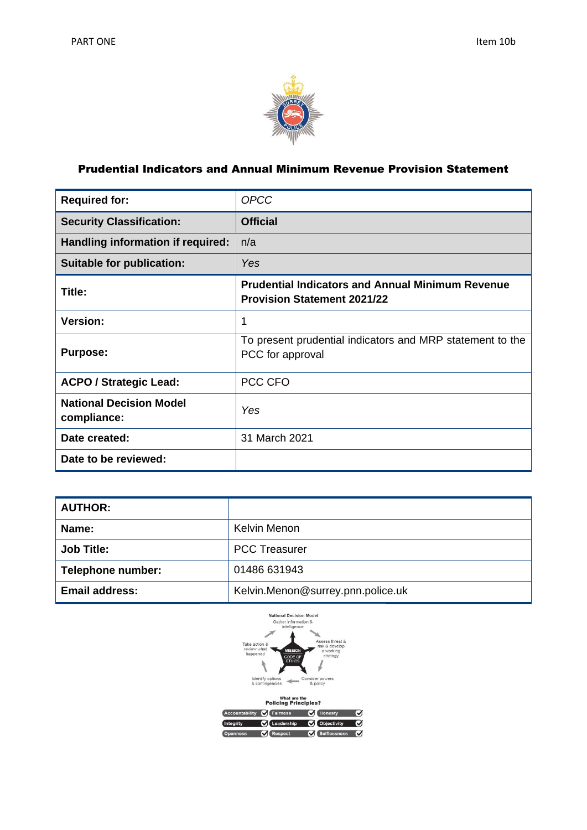

# Prudential Indicators and Annual Minimum Revenue Provision Statement

| <b>Required for:</b>                          | <b>OPCC</b>                                                                                   |
|-----------------------------------------------|-----------------------------------------------------------------------------------------------|
| <b>Security Classification:</b>               | <b>Official</b>                                                                               |
| Handling information if required:             | n/a                                                                                           |
| <b>Suitable for publication:</b>              | Yes                                                                                           |
| Title:                                        | <b>Prudential Indicators and Annual Minimum Revenue</b><br><b>Provision Statement 2021/22</b> |
| <b>Version:</b>                               | 1                                                                                             |
| <b>Purpose:</b>                               | To present prudential indicators and MRP statement to the<br>PCC for approval                 |
| <b>ACPO / Strategic Lead:</b>                 | PCC CFO                                                                                       |
| <b>National Decision Model</b><br>compliance: | Yes                                                                                           |
| Date created:                                 | 31 March 2021                                                                                 |
| Date to be reviewed:                          |                                                                                               |

| <b>AUTHOR:</b>        |                                   |
|-----------------------|-----------------------------------|
| Name:                 | Kelvin Menon                      |
| <b>Job Title:</b>     | <b>PCC Treasurer</b>              |
| Telephone number:     | 01486 631943                      |
| <b>Email address:</b> | Kelvin.Menon@surrey.pnn.police.uk |



| Accountability <b>C</b> Fairness |                            | Honesty      | ✔ |  |
|----------------------------------|----------------------------|--------------|---|--|
| <b>Integrity</b>                 | C Leadership C Objectivity |              | M |  |
| <b>Openness</b>                  | <b>C</b> Respect           | Selflessness | Ø |  |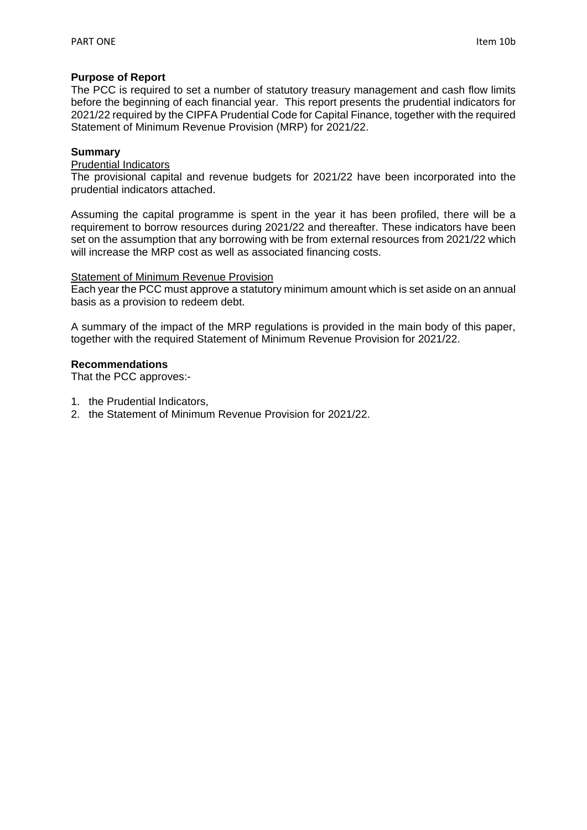### **Purpose of Report**

The PCC is required to set a number of statutory treasury management and cash flow limits before the beginning of each financial year. This report presents the prudential indicators for 2021/22 required by the CIPFA Prudential Code for Capital Finance, together with the required Statement of Minimum Revenue Provision (MRP) for 2021/22.

### **Summary**

### Prudential Indicators

The provisional capital and revenue budgets for 2021/22 have been incorporated into the prudential indicators attached.

Assuming the capital programme is spent in the year it has been profiled, there will be a requirement to borrow resources during 2021/22 and thereafter. These indicators have been set on the assumption that any borrowing with be from external resources from 2021/22 which will increase the MRP cost as well as associated financing costs.

## **Statement of Minimum Revenue Provision**

Each year the PCC must approve a statutory minimum amount which is set aside on an annual basis as a provision to redeem debt.

A summary of the impact of the MRP regulations is provided in the main body of this paper, together with the required Statement of Minimum Revenue Provision for 2021/22.

### **Recommendations**

That the PCC approves:-

- 1. the Prudential Indicators,
- 2. the Statement of Minimum Revenue Provision for 2021/22.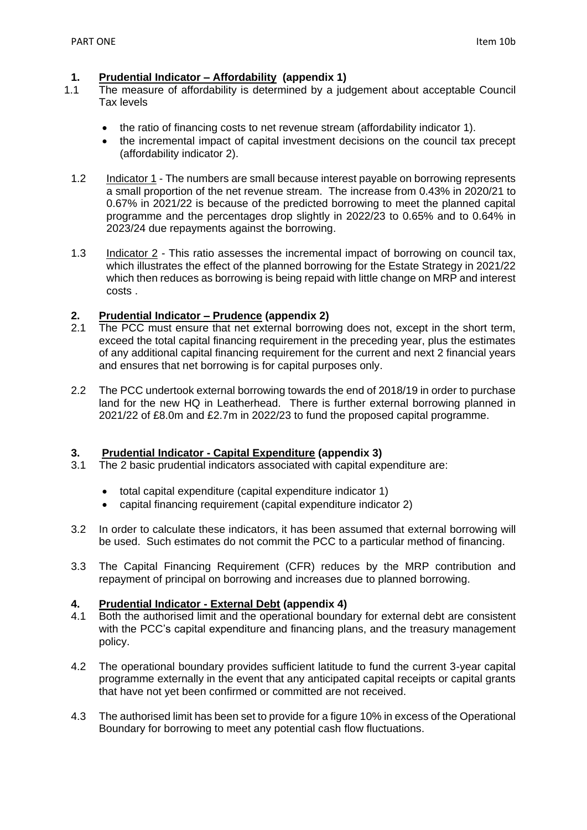# **1. Prudential Indicator – Affordability (appendix 1)**

- 1.1 The measure of affordability is determined by a judgement about acceptable Council Tax levels
	- the ratio of financing costs to net revenue stream (affordability indicator 1).
	- the incremental impact of capital investment decisions on the council tax precept (affordability indicator 2).
	- 1.2 Indicator 1 The numbers are small because interest payable on borrowing represents a small proportion of the net revenue stream. The increase from 0.43% in 2020/21 to 0.67% in 2021/22 is because of the predicted borrowing to meet the planned capital programme and the percentages drop slightly in 2022/23 to 0.65% and to 0.64% in 2023/24 due repayments against the borrowing.
	- 1.3 Indicator  $2$  This ratio assesses the incremental impact of borrowing on council tax, which illustrates the effect of the planned borrowing for the Estate Strategy in 2021/22 which then reduces as borrowing is being repaid with little change on MRP and interest costs .

# **2. Prudential Indicator – Prudence (appendix 2)**

- 2.1 The PCC must ensure that net external borrowing does not, except in the short term, exceed the total capital financing requirement in the preceding year, plus the estimates of any additional capital financing requirement for the current and next 2 financial years and ensures that net borrowing is for capital purposes only.
- 2.2 The PCC undertook external borrowing towards the end of 2018/19 in order to purchase land for the new HQ in Leatherhead. There is further external borrowing planned in 2021/22 of £8.0m and £2.7m in 2022/23 to fund the proposed capital programme.

# **3. Prudential Indicator - Capital Expenditure (appendix 3)**

- 3.1 The 2 basic prudential indicators associated with capital expenditure are:
	- total capital expenditure (capital expenditure indicator 1)
	- capital financing requirement (capital expenditure indicator 2)
- 3.2 In order to calculate these indicators, it has been assumed that external borrowing will be used. Such estimates do not commit the PCC to a particular method of financing.
- 3.3 The Capital Financing Requirement (CFR) reduces by the MRP contribution and repayment of principal on borrowing and increases due to planned borrowing.

## **4. Prudential Indicator - External Debt (appendix 4)**

- 4.1 Both the authorised limit and the operational boundary for external debt are consistent with the PCC's capital expenditure and financing plans, and the treasury management policy.
- 4.2 The operational boundary provides sufficient latitude to fund the current 3-year capital programme externally in the event that any anticipated capital receipts or capital grants that have not yet been confirmed or committed are not received.
- 4.3 The authorised limit has been set to provide for a figure 10% in excess of the Operational Boundary for borrowing to meet any potential cash flow fluctuations.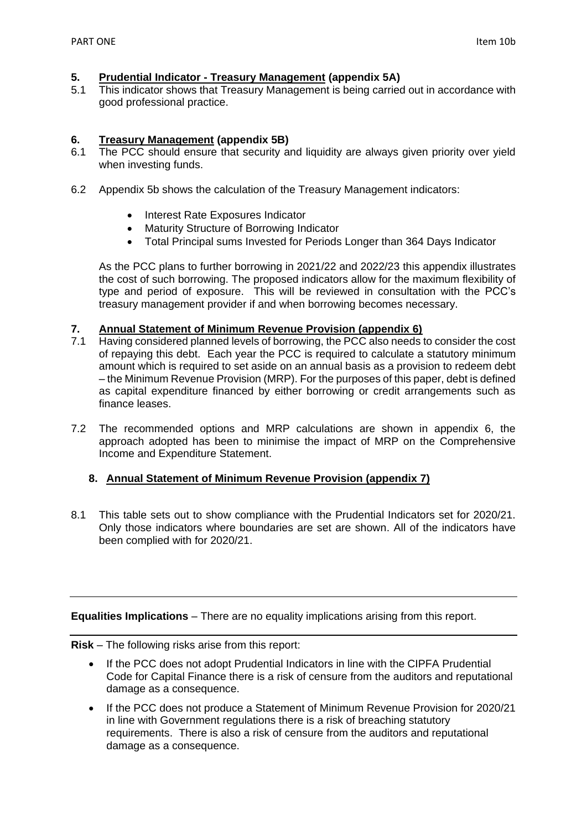## **5. Prudential Indicator - Treasury Management (appendix 5A)**

5.1 This indicator shows that Treasury Management is being carried out in accordance with good professional practice.

### **6. Treasury Management (appendix 5B)**

- 6.1 The PCC should ensure that security and liquidity are always given priority over yield when investing funds.
- 6.2 Appendix 5b shows the calculation of the Treasury Management indicators:
	- Interest Rate Exposures Indicator
	- Maturity Structure of Borrowing Indicator
	- Total Principal sums Invested for Periods Longer than 364 Days Indicator

As the PCC plans to further borrowing in 2021/22 and 2022/23 this appendix illustrates the cost of such borrowing. The proposed indicators allow for the maximum flexibility of type and period of exposure. This will be reviewed in consultation with the PCC's treasury management provider if and when borrowing becomes necessary.

### **7. Annual Statement of Minimum Revenue Provision (appendix 6)**

- 7.1 Having considered planned levels of borrowing, the PCC also needs to consider the cost of repaying this debt. Each year the PCC is required to calculate a statutory minimum amount which is required to set aside on an annual basis as a provision to redeem debt – the Minimum Revenue Provision (MRP). For the purposes of this paper, debt is defined as capital expenditure financed by either borrowing or credit arrangements such as finance leases.
- 7.2 The recommended options and MRP calculations are shown in appendix 6, the approach adopted has been to minimise the impact of MRP on the Comprehensive Income and Expenditure Statement.

## **8. Annual Statement of Minimum Revenue Provision (appendix 7)**

8.1 This table sets out to show compliance with the Prudential Indicators set for 2020/21. Only those indicators where boundaries are set are shown. All of the indicators have been complied with for 2020/21.

### **Equalities Implications** – There are no equality implications arising from this report.

**Risk** – The following risks arise from this report:

- If the PCC does not adopt Prudential Indicators in line with the CIPFA Prudential Code for Capital Finance there is a risk of censure from the auditors and reputational damage as a consequence.
- If the PCC does not produce a Statement of Minimum Revenue Provision for 2020/21 in line with Government regulations there is a risk of breaching statutory requirements. There is also a risk of censure from the auditors and reputational damage as a consequence.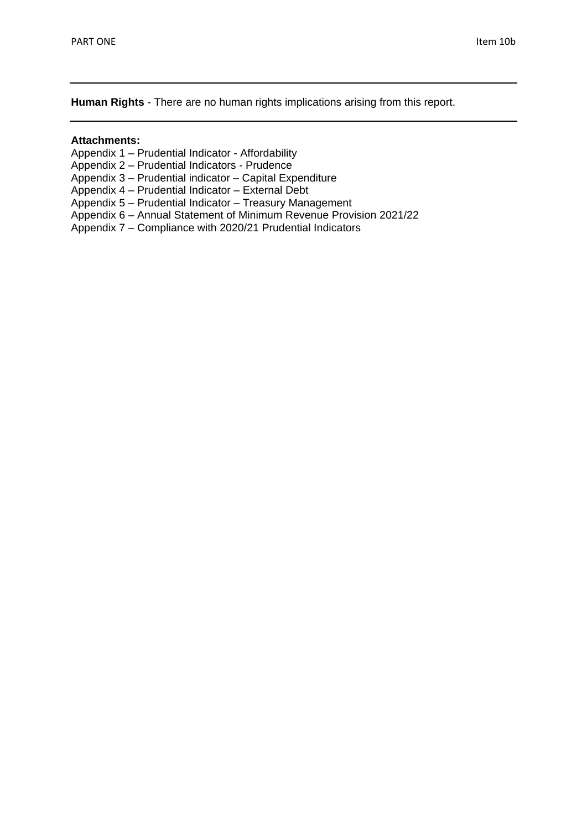**Human Rights** - There are no human rights implications arising from this report.

### **Attachments:**

- Appendix 1 Prudential Indicator Affordability
- Appendix 2 Prudential Indicators Prudence
- Appendix 3 Prudential indicator Capital Expenditure
- Appendix 4 Prudential Indicator External Debt
- Appendix 5 Prudential Indicator Treasury Management
- Appendix 6 Annual Statement of Minimum Revenue Provision 2021/22
- Appendix 7 Compliance with 2020/21 Prudential Indicators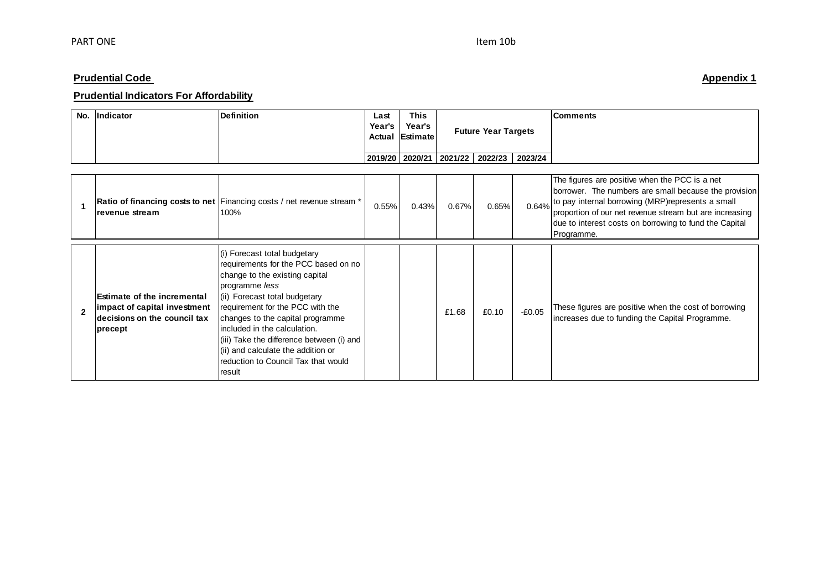# **Prudential Indicators For Affordability**

| No. | Indicator | Definition | Last<br>Year's | <b>This</b><br>Year's<br>Actual Estimate |                   | <b>Future Year Targets</b> |         | <b>Comments</b> |
|-----|-----------|------------|----------------|------------------------------------------|-------------------|----------------------------|---------|-----------------|
|     |           |            |                | 2019/20 2020/21                          | $2021/22$ 2022/23 |                            | 2023/24 |                 |

| revenue stream                                                                                                | Ratio of financing costs to net Financing costs / net revenue stream *<br>100%                                                                                                                                                                                                                                                                                                                         | 0.55% | 0.43% | $0.67\%$ | 0.65% | 0.64%    | The figures are positive when the PCC is a net<br>borrower. The numbers are small because the provision<br>to pay internal borrowing (MRP) represents a small<br>proportion of our net revenue stream but are increasing<br>due to interest costs on borrowing to fund the Capital<br>Programme. |
|---------------------------------------------------------------------------------------------------------------|--------------------------------------------------------------------------------------------------------------------------------------------------------------------------------------------------------------------------------------------------------------------------------------------------------------------------------------------------------------------------------------------------------|-------|-------|----------|-------|----------|--------------------------------------------------------------------------------------------------------------------------------------------------------------------------------------------------------------------------------------------------------------------------------------------------|
| <b>Estimate of the incremental</b><br>impact of capital investment<br>decisions on the council tax<br>precept | (i) Forecast total budgetary<br>requirements for the PCC based on no<br>change to the existing capital<br>programme less<br>(ii) Forecast total budgetary<br>requirement for the PCC with the<br>changes to the capital programme<br>lincluded in the calculation.<br>(iii) Take the difference between (i) and<br>(ii) and calculate the addition or<br>reduction to Council Tax that would<br>result |       |       | £1.68    | £0.10 | $-£0.05$ | These figures are positive when the cost of borrowing<br>increases due to funding the Capital Programme.                                                                                                                                                                                         |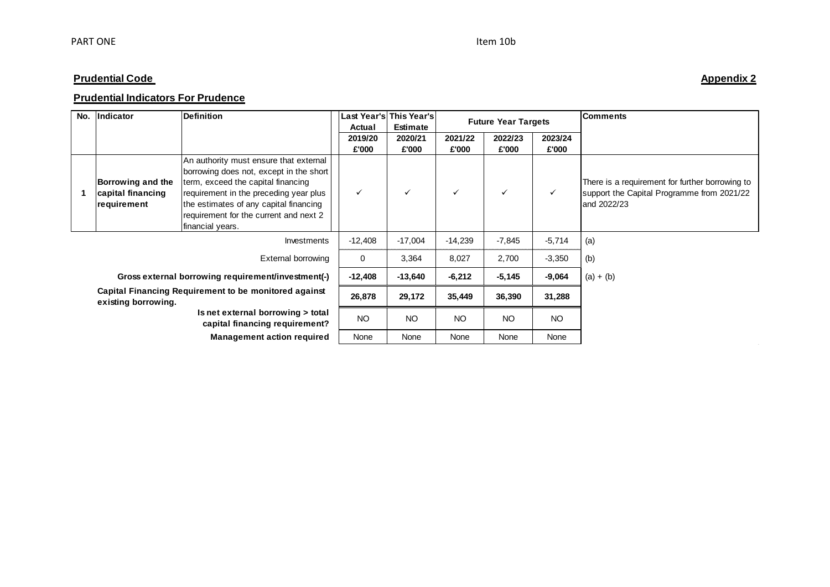# **Prudential Indicators For Prudence**

| No.         | Indicator                                                                    | <b>Definition</b>                                                                                                                                                                                                                                                         | Actual           | Last Year's This Year's<br><b>Estimate</b> | <b>Future Year Targets</b> |                  |                  | <b>Comments</b>                                                                                              |
|-------------|------------------------------------------------------------------------------|---------------------------------------------------------------------------------------------------------------------------------------------------------------------------------------------------------------------------------------------------------------------------|------------------|--------------------------------------------|----------------------------|------------------|------------------|--------------------------------------------------------------------------------------------------------------|
|             |                                                                              |                                                                                                                                                                                                                                                                           | 2019/20<br>£'000 | 2020/21<br>£'000                           | 2021/22<br>£'000           | 2022/23<br>£'000 | 2023/24<br>£'000 |                                                                                                              |
|             | Borrowing and the<br>capital financing<br>requirement                        | An authority must ensure that external<br>borrowing does not, except in the short<br>term, exceed the capital financing<br>requirement in the preceding year plus<br>the estimates of any capital financing<br>requirement for the current and next 2<br>financial years. | $\checkmark$     | $\checkmark$                               |                            | ✓                | $\checkmark$     | There is a requirement for further borrowing to<br>support the Capital Programme from 2021/22<br>and 2022/23 |
| Investments |                                                                              | $-12,408$                                                                                                                                                                                                                                                                 | $-17,004$        | $-14,239$                                  | $-7,845$                   | $-5,714$         | (a)              |                                                                                                              |
|             |                                                                              | External borrowing                                                                                                                                                                                                                                                        | $\mathbf 0$      | 3,364                                      | 8,027                      | 2,700            | $-3,350$         | (b)                                                                                                          |
|             |                                                                              | Gross external borrowing requirement/investment(-)                                                                                                                                                                                                                        | $-12,408$        | $-13,640$                                  | $-6,212$                   | $-5,145$         | $-9,064$         | $(a) + (b)$                                                                                                  |
|             | Capital Financing Requirement to be monitored against<br>existing borrowing. |                                                                                                                                                                                                                                                                           | 26,878           | 29,172                                     | 35,449                     | 36,390           | 31,288           |                                                                                                              |
|             |                                                                              | Is net external borrowing > total<br>capital financing requirement?                                                                                                                                                                                                       | <b>NO</b>        | <b>NO</b>                                  | <b>NO</b>                  | <b>NO</b>        | <b>NO</b>        |                                                                                                              |
|             |                                                                              | <b>Management action required</b>                                                                                                                                                                                                                                         | None             | None                                       | None                       | None             | None             |                                                                                                              |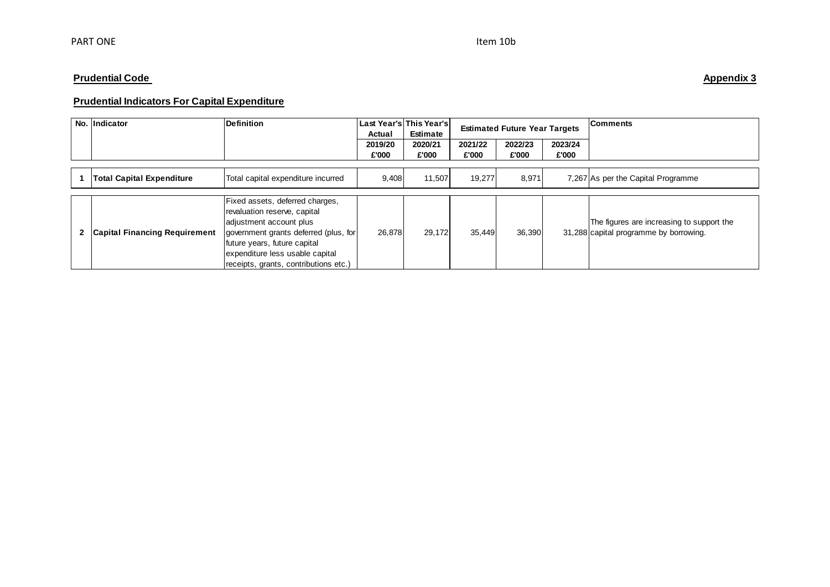# **Prudential Indicators For Capital Expenditure**

|   | No. Indicator                        | <b>Definition</b>                                                                                                                                                                                                                               | Last Year's This Year's<br>Actual | Estimate         | <b>Estimated Future Year Targets</b> |                  |                  | <b>Comments</b>                                                                     |
|---|--------------------------------------|-------------------------------------------------------------------------------------------------------------------------------------------------------------------------------------------------------------------------------------------------|-----------------------------------|------------------|--------------------------------------|------------------|------------------|-------------------------------------------------------------------------------------|
|   |                                      |                                                                                                                                                                                                                                                 | 2019/20<br>£'000                  | 2020/21<br>£'000 | 2021/22<br>£'000                     | 2022/23<br>£'000 | 2023/24<br>£'000 |                                                                                     |
|   |                                      |                                                                                                                                                                                                                                                 |                                   |                  |                                      |                  |                  |                                                                                     |
|   | <b>Total Capital Expenditure</b>     | Total capital expenditure incurred                                                                                                                                                                                                              | 9,408                             | 11,507           | 19,277                               | 8,971            |                  | 7,267 As per the Capital Programme                                                  |
|   |                                      |                                                                                                                                                                                                                                                 |                                   |                  |                                      |                  |                  |                                                                                     |
| 2 | <b>Capital Financing Requirement</b> | Fixed assets, deferred charges,<br>revaluation reserve, capital<br>adjustment account plus<br>government grants deferred (plus, for<br>future years, future capital<br>expenditure less usable capital<br>receipts, grants, contributions etc.) | 26,878                            | 29,172           | 35,449                               | 36,390           |                  | The figures are increasing to support the<br>31,288 capital programme by borrowing. |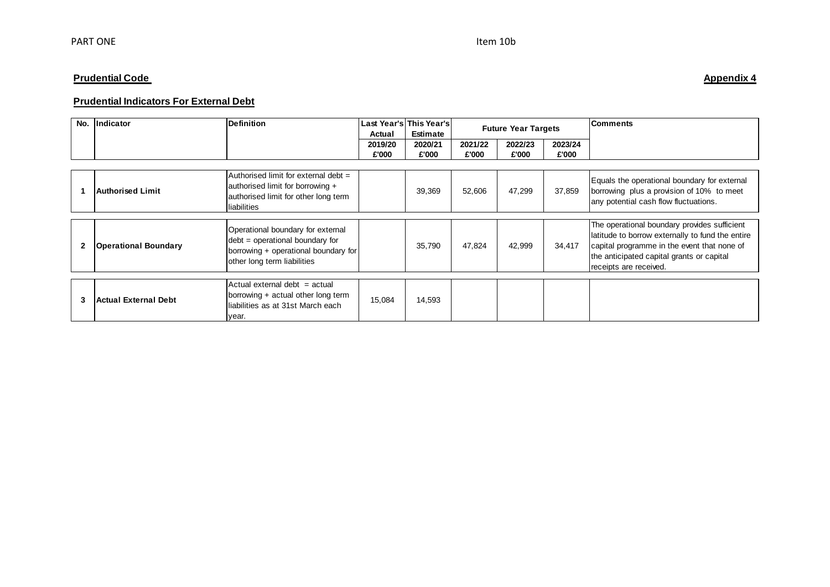# **Prudential Indicators For External Debt**

| No. | <b>Indicator</b>            | <b>Definition</b>                                                                                                                             | Actual  | Last Year's This Year's<br>Estimate |         | <b>Future Year Targets</b> |         | <b>Comments</b>                                                                                                                                                                                                        |
|-----|-----------------------------|-----------------------------------------------------------------------------------------------------------------------------------------------|---------|-------------------------------------|---------|----------------------------|---------|------------------------------------------------------------------------------------------------------------------------------------------------------------------------------------------------------------------------|
|     |                             |                                                                                                                                               | 2019/20 | 2020/21                             | 2021/22 | 2022/23                    | 2023/24 |                                                                                                                                                                                                                        |
|     |                             |                                                                                                                                               | £'000   | £'000                               | £'000   | £'000                      | £'000   |                                                                                                                                                                                                                        |
|     |                             |                                                                                                                                               |         |                                     |         |                            |         |                                                                                                                                                                                                                        |
|     | <b>Authorised Limit</b>     | Authorised limit for external debt =<br>authorised limit for borrowing +<br>authorised limit for other long term<br>liabilities               |         | 39,369                              | 52,606  | 47,299                     | 37,859  | Equals the operational boundary for external<br>borrowing plus a provision of 10% to meet<br>any potential cash flow fluctuations.                                                                                     |
|     |                             |                                                                                                                                               |         |                                     |         |                            |         |                                                                                                                                                                                                                        |
|     | <b>Operational Boundary</b> | Operational boundary for external<br>$debt = operational boundary for$<br>borrowing + operational boundary for<br>other long term liabilities |         | 35.790                              | 47.824  | 42,999                     | 34.417  | The operational boundary provides sufficient<br>latitude to borrow externally to fund the entire<br>capital programme in the event that none of<br>the anticipated capital grants or capital<br>receipts are received. |
|     |                             |                                                                                                                                               |         |                                     |         |                            |         |                                                                                                                                                                                                                        |
| З   | <b>Actual External Debt</b> | Actual external debt = actual<br>borrowing + actual other long term<br>lliabilities as at 31st March each<br>year.                            | 15,084  | 14,593                              |         |                            |         |                                                                                                                                                                                                                        |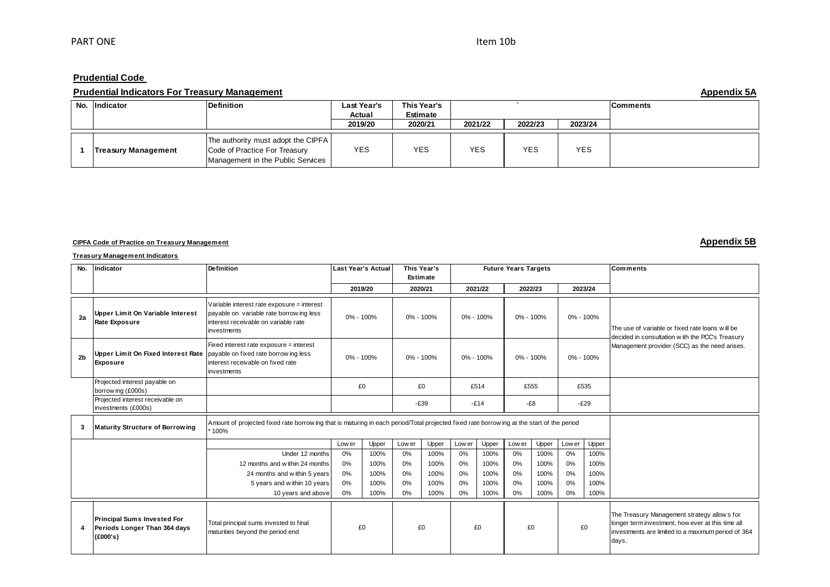### **Prudential Code**

### **Prudential Indicators For Treasury Management Appendix 5A**

|                            | __________                                                                                               |                       |                         |            |            |            |          |
|----------------------------|----------------------------------------------------------------------------------------------------------|-----------------------|-------------------------|------------|------------|------------|----------|
| No. Indicator              | <b>Definition</b>                                                                                        | Last Year's<br>Actual | This Year's<br>Estimate |            |            |            | Comments |
|                            |                                                                                                          | 2019/20               | 2020/21                 | 2021/22    | 2022/23    | 2023/24    |          |
|                            |                                                                                                          |                       |                         |            |            |            |          |
| <b>Treasury Management</b> | The authority must adopt the CIPFA<br>Code of Practice For Treasury<br>Management in the Public Services | <b>YES</b>            | <b>YES</b>              | <b>YES</b> | <b>YES</b> | <b>YES</b> |          |

### **CIPFA Code of Practice on Treasury Management Appendix 5B**

### **Treasury Management Indicators**

|     | <b>Treasury Management Indicators</b>                                                      |                                                                                                                                                    |                           |       |               |           |        |                        |                             |           |           |           |                                                                                                                                                                 |
|-----|--------------------------------------------------------------------------------------------|----------------------------------------------------------------------------------------------------------------------------------------------------|---------------------------|-------|---------------|-----------|--------|------------------------|-----------------------------|-----------|-----------|-----------|-----------------------------------------------------------------------------------------------------------------------------------------------------------------|
| No. | Indicator                                                                                  | <b>Definition</b>                                                                                                                                  | <b>Last Year's Actual</b> |       | This Year's   | Estimate  |        |                        | <b>Future Years Targets</b> |           |           |           | Comments                                                                                                                                                        |
|     |                                                                                            |                                                                                                                                                    | 2019/20                   |       |               | 2020/21   |        | 2021/22                |                             | 2022/23   |           | 2023/24   |                                                                                                                                                                 |
| 2a  | Upper Limit On Variable Interest<br><b>Rate Exposure</b>                                   | Variable interest rate exposure = interest<br>payable on variable rate borrowing less<br>interest receivable on variable rate<br>investments       | 0% - 100%                 |       | $0\% - 100\%$ |           |        | 0% - 100%              |                             | 0% - 100% |           | 0% - 100% | The use of variable or fixed rate loans will be<br>decided in consultation w ith the PCC's Treasury                                                             |
| 2b  | Upper Limit On Fixed Interest Rate payable on fixed rate borrowing less<br><b>Exposure</b> | Fixed interest rate exposure = interest<br>interest receivable on fixed rate<br>investments                                                        | 0% - 100%                 |       |               | 0% - 100% |        | 0% - 100%<br>0% - 100% |                             |           | 0% - 100% |           | Management provider (SCC) as the need arises.                                                                                                                   |
|     | Projected interest payable on<br>borrow ing (£000s)                                        |                                                                                                                                                    | £0                        |       | £0<br>£514    |           | £555   |                        | £535                        |           |           |           |                                                                                                                                                                 |
|     | Projected interest receivable on<br>investments (£000s)                                    |                                                                                                                                                    |                           |       |               | $-E39$    |        | $-E14$                 | $-E8$                       |           |           | $-E29$    |                                                                                                                                                                 |
| 3   | Maturity Structure of Borrowing                                                            | Amount of projected fixed rate borrow ing that is maturing in each period/Total projected fixed rate borrow ing at the start of the period<br>100% |                           |       |               |           |        |                        |                             |           |           |           |                                                                                                                                                                 |
|     |                                                                                            |                                                                                                                                                    | Low er                    | Upper | Low er        | Upper     | Low er | Upper                  | Low er                      | Upper     | Low er    | Upper     |                                                                                                                                                                 |
|     |                                                                                            | Under 12 months                                                                                                                                    | 0%                        | 100%  | 0%            | 100%      | 0%     | 100%                   | 0%                          | 100%      | 0%        | 100%      |                                                                                                                                                                 |
|     |                                                                                            | 12 months and within 24 months                                                                                                                     | 0%                        | 100%  | 0%            | 100%      | 0%     | 100%                   | 0%                          | 100%      | 0%        | 100%      |                                                                                                                                                                 |
|     |                                                                                            | 24 months and within 5 years                                                                                                                       | 0%                        | 100%  | 0%            | 100%      | 0%     | 100%                   | 0%                          | 100%      | 0%        | 100%      |                                                                                                                                                                 |
|     |                                                                                            | 5 years and within 10 years                                                                                                                        | 0%                        | 100%  | 0%            | 100%      | 0%     | 100%                   | 0%                          | 100%      | 0%        | 100%      |                                                                                                                                                                 |
|     |                                                                                            | 10 years and above                                                                                                                                 | 0%                        | 100%  | 0%            | 100%      | 0%     | 100%                   | 0%                          | 100%      | 0%        | 100%      |                                                                                                                                                                 |
| 4   | <b>Principal Sums Invested For</b><br>Periods Longer Than 364 days<br>(E000's)             | Total principal sums invested to final<br>maturities beyond the period end                                                                         | £0                        |       | £0            |           | £0     |                        | £0                          |           | £0        |           | The Treasury Management strategy allows for<br>longer term investment, how ever at this time all<br>investments are limited to a maximum period of 364<br>days. |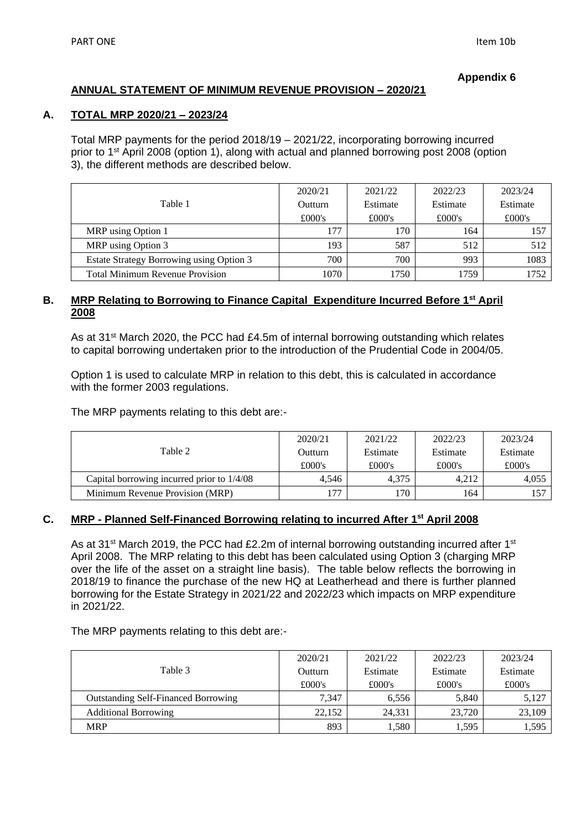### **Appendix 6**

# **ANNUAL STATEMENT OF MINIMUM REVENUE PROVISION – 2020/21**

### **A. TOTAL MRP 2020/21 – 2023/24**

Total MRP payments for the period 2018/19 – 2021/22, incorporating borrowing incurred prior to 1st April 2008 (option 1), along with actual and planned borrowing post 2008 (option 3), the different methods are described below.

|                                          | 2020/21 | 2021/22  | 2022/23  | 2023/24  |
|------------------------------------------|---------|----------|----------|----------|
| Table 1                                  | Outturn | Estimate | Estimate | Estimate |
|                                          | £000's  | £000's   | £000's   | £000's   |
| MRP using Option 1                       | 177     | 170      | 164      | 157      |
| MRP using Option 3                       | 193     | 587      | 512      | 512      |
| Estate Strategy Borrowing using Option 3 | 700     | 700      | 993      | 1083     |
| <b>Total Minimum Revenue Provision</b>   | 1070    | 1750     | 1759     | 1752.    |

# **B. MRP Relating to Borrowing to Finance Capital Expenditure Incurred Before 1st April 2008**

As at 31<sup>st</sup> March 2020, the PCC had £4.5m of internal borrowing outstanding which relates to capital borrowing undertaken prior to the introduction of the Prudential Code in 2004/05.

Option 1 is used to calculate MRP in relation to this debt, this is calculated in accordance with the former 2003 regulations.

The MRP payments relating to this debt are:-

|                                            | 2020/21 | 2021/22  | 2022/23  | 2023/24  |
|--------------------------------------------|---------|----------|----------|----------|
| Table 2                                    | Outturn | Estimate | Estimate | Estimate |
|                                            | £000's  | £000's   | £000's   | £000's   |
| Capital borrowing incurred prior to 1/4/08 | 4.546   | 4.375    | 4.212    | 4.055    |
| Minimum Revenue Provision (MRP)            | 77      | 170      | 164      | 157      |

# **C. MRP - Planned Self-Financed Borrowing relating to incurred After 1st April 2008**

As at 31<sup>st</sup> March 2019, the PCC had £2.2m of internal borrowing outstanding incurred after 1<sup>st</sup> April 2008. The MRP relating to this debt has been calculated using Option 3 (charging MRP over the life of the asset on a straight line basis). The table below reflects the borrowing in 2018/19 to finance the purchase of the new HQ at Leatherhead and there is further planned borrowing for the Estate Strategy in 2021/22 and 2022/23 which impacts on MRP expenditure in 2021/22.

The MRP payments relating to this debt are:-

|                                            | 2020/21 | 2021/22  | 2022/23  | 2023/24  |
|--------------------------------------------|---------|----------|----------|----------|
| Table 3                                    | Outturn | Estimate | Estimate | Estimate |
|                                            | £000's  | £000's   | £000's   | £000's   |
| <b>Outstanding Self-Financed Borrowing</b> | 7.347   | 6.556    | 5.840    | 5,127    |
| <b>Additional Borrowing</b>                | 22,152  | 24.331   | 23.720   | 23,109   |
| <b>MRP</b>                                 | 893     | 1,580    | 1.595    | 1,595    |